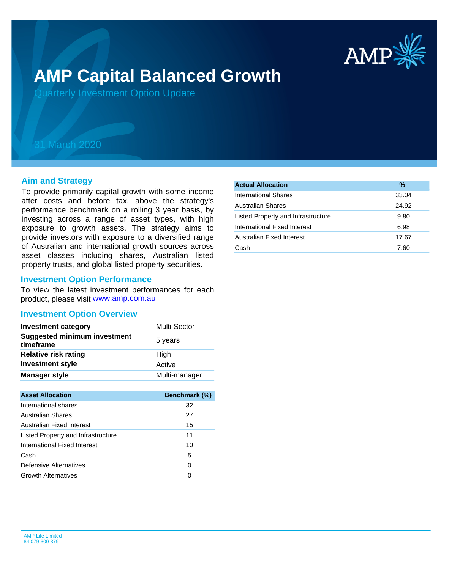

# **AMP Capital Balanced Growth**

Quarterly Investment Option Update

## 31 March 2020

#### **Aim and Strategy**

To provide primarily capital growth with some income after costs and before tax, above the strategy's performance benchmark on a rolling 3 year basis, by investing across a range of asset types, with high exposure to growth assets. The strategy aims to provide investors with exposure to a diversified range of Australian and international growth sources across asset classes including shares, Australian listed property trusts, and global listed property securities.

#### **Investment Option Performance**

product, please visit [www.amp.com.au](https://www.amp.com.au) To view the latest investment performances for each

#### **Investment Option Overview**

| <b>Investment category</b>                       | <b>Multi-Sector</b> |
|--------------------------------------------------|---------------------|
| <b>Suggested minimum investment</b><br>timeframe | 5 years             |
| <b>Relative risk rating</b>                      | High                |
| <b>Investment style</b>                          | Active              |
| <b>Manager style</b>                             | Multi-manager       |

| <b>Asset Allocation</b>            | <b>Benchmark (%)</b> |
|------------------------------------|----------------------|
| International shares               | 32                   |
| Australian Shares                  | 27                   |
| Australian Fixed Interest          | 15                   |
| Listed Property and Infrastructure | 11                   |
| International Fixed Interest       | 10                   |
| Cash                               | 5                    |
| Defensive Alternatives             | 0                    |
| <b>Growth Alternatives</b>         |                      |

| <b>Actual Allocation</b>           | $\%$  |
|------------------------------------|-------|
| International Shares               | 33.04 |
| <b>Australian Shares</b>           | 24.92 |
| Listed Property and Infrastructure | 9.80  |
| International Fixed Interest       | 6.98  |
| Australian Fixed Interest          | 17.67 |
| Cash                               | 7.60  |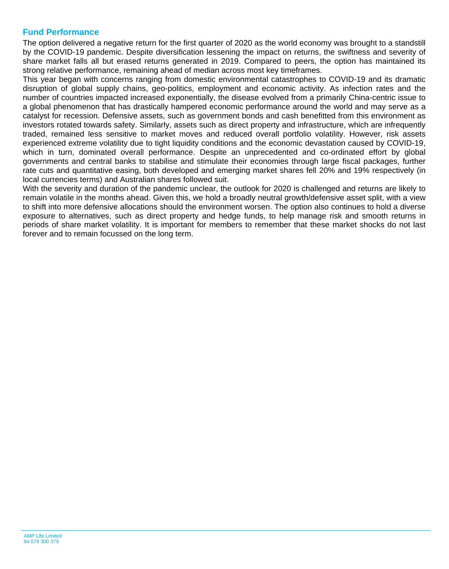### **Fund Performance**

The option delivered a negative return for the first quarter of 2020 as the world economy was brought to a standstill by the COVID-19 pandemic. Despite diversification lessening the impact on returns, the swiftness and severity of share market falls all but erased returns generated in 2019. Compared to peers, the option has maintained its strong relative performance, remaining ahead of median across most key timeframes.

This year began with concerns ranging from domestic environmental catastrophes to COVID-19 and its dramatic disruption of global supply chains, geo-politics, employment and economic activity. As infection rates and the number of countries impacted increased exponentially, the disease evolved from a primarily China-centric issue to a global phenomenon that has drastically hampered economic performance around the world and may serve as a catalyst for recession. Defensive assets, such as government bonds and cash benefitted from this environment as investors rotated towards safety. Similarly, assets such as direct property and infrastructure, which are infrequently traded, remained less sensitive to market moves and reduced overall portfolio volatility. However, risk assets experienced extreme volatility due to tight liquidity conditions and the economic devastation caused by COVID-19, which in turn, dominated overall performance. Despite an unprecedented and co-ordinated effort by global governments and central banks to stabilise and stimulate their economies through large fiscal packages, further rate cuts and quantitative easing, both developed and emerging market shares fell 20% and 19% respectively (in local currencies terms) and Australian shares followed suit.

With the severity and duration of the pandemic unclear, the outlook for 2020 is challenged and returns are likely to remain volatile in the months ahead. Given this, we hold a broadly neutral growth/defensive asset split, with a view to shift into more defensive allocations should the environment worsen. The option also continues to hold a diverse exposure to alternatives, such as direct property and hedge funds, to help manage risk and smooth returns in periods of share market volatility. It is important for members to remember that these market shocks do not last forever and to remain focussed on the long term.